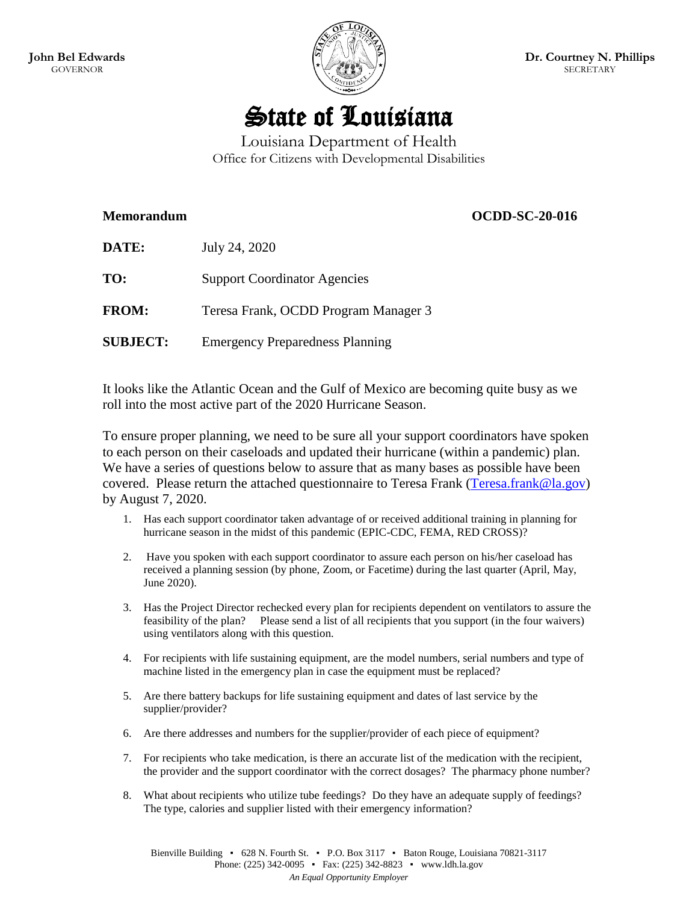

# State of Louisiana

Louisiana Department of Health Office for Citizens with Developmental Disabilities

# **Memorandum OCDD-SC-20-016**

| <b>DATE:</b>    | July 24, 2020                          |
|-----------------|----------------------------------------|
| TO:             | <b>Support Coordinator Agencies</b>    |
| <b>FROM:</b>    | Teresa Frank, OCDD Program Manager 3   |
| <b>SUBJECT:</b> | <b>Emergency Preparedness Planning</b> |

It looks like the Atlantic Ocean and the Gulf of Mexico are becoming quite busy as we roll into the most active part of the 2020 Hurricane Season.

To ensure proper planning, we need to be sure all your support coordinators have spoken to each person on their caseloads and updated their hurricane (within a pandemic) plan. We have a series of questions below to assure that as many bases as possible have been covered. Please return the attached questionnaire to Teresa Frank [\(Teresa.frank@la.gov\)](mailto:Teresa.frank@la.gov) by August 7, 2020.

- 1. Has each support coordinator taken advantage of or received additional training in planning for hurricane season in the midst of this pandemic (EPIC-CDC, FEMA, RED CROSS)?
- 2. Have you spoken with each support coordinator to assure each person on his/her caseload has received a planning session (by phone, Zoom, or Facetime) during the last quarter (April, May, June 2020).
- 3. Has the Project Director rechecked every plan for recipients dependent on ventilators to assure the feasibility of the plan? Please send a list of all recipients that you support (in the four waivers) using ventilators along with this question.
- 4. For recipients with life sustaining equipment, are the model numbers, serial numbers and type of machine listed in the emergency plan in case the equipment must be replaced?
- 5. Are there battery backups for life sustaining equipment and dates of last service by the supplier/provider?
- 6. Are there addresses and numbers for the supplier/provider of each piece of equipment?
- 7. For recipients who take medication, is there an accurate list of the medication with the recipient, the provider and the support coordinator with the correct dosages? The pharmacy phone number?
- 8. What about recipients who utilize tube feedings? Do they have an adequate supply of feedings? The type, calories and supplier listed with their emergency information?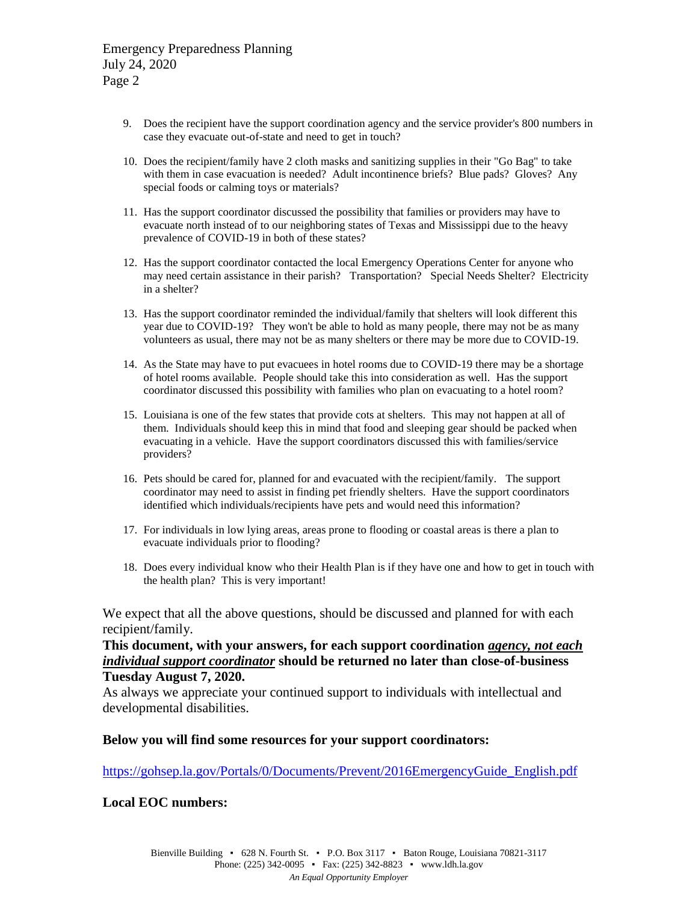- 9. Does the recipient have the support coordination agency and the service provider's 800 numbers in case they evacuate out-of-state and need to get in touch?
- 10. Does the recipient/family have 2 cloth masks and sanitizing supplies in their "Go Bag" to take with them in case evacuation is needed? Adult incontinence briefs? Blue pads? Gloves? Any special foods or calming toys or materials?
- 11. Has the support coordinator discussed the possibility that families or providers may have to evacuate north instead of to our neighboring states of Texas and Mississippi due to the heavy prevalence of COVID-19 in both of these states?
- 12. Has the support coordinator contacted the local Emergency Operations Center for anyone who may need certain assistance in their parish? Transportation? Special Needs Shelter? Electricity in a shelter?
- 13. Has the support coordinator reminded the individual/family that shelters will look different this year due to COVID-19? They won't be able to hold as many people, there may not be as many volunteers as usual, there may not be as many shelters or there may be more due to COVID-19.
- 14. As the State may have to put evacuees in hotel rooms due to COVID-19 there may be a shortage of hotel rooms available. People should take this into consideration as well. Has the support coordinator discussed this possibility with families who plan on evacuating to a hotel room?
- 15. Louisiana is one of the few states that provide cots at shelters. This may not happen at all of them. Individuals should keep this in mind that food and sleeping gear should be packed when evacuating in a vehicle. Have the support coordinators discussed this with families/service providers?
- 16. Pets should be cared for, planned for and evacuated with the recipient/family. The support coordinator may need to assist in finding pet friendly shelters. Have the support coordinators identified which individuals/recipients have pets and would need this information?
- 17. For individuals in low lying areas, areas prone to flooding or coastal areas is there a plan to evacuate individuals prior to flooding?
- 18. Does every individual know who their Health Plan is if they have one and how to get in touch with the health plan? This is very important!

We expect that all the above questions, should be discussed and planned for with each recipient/family.

**This document, with your answers, for each support coordination** *agency, not each individual support coordinator* **should be returned no later than close-of-business Tuesday August 7, 2020.**

As always we appreciate your continued support to individuals with intellectual and developmental disabilities.

#### **Below you will find some resources for your support coordinators:**

[https://gohsep.la.gov/Portals/0/Documents/Prevent/2016EmergencyGuide\\_English.pdf](https://gohsep.la.gov/Portals/0/Documents/Prevent/2016EmergencyGuide_English.pdf)

**Local EOC numbers:**